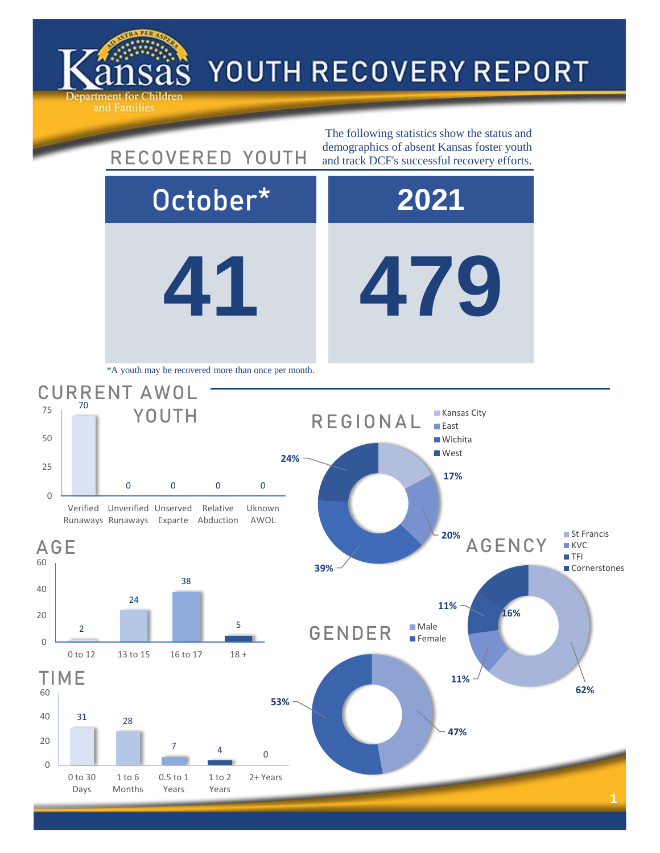

## YOUTH RECOVERY REPORT

**41 479** October\* **2021** AGENCY CURRENT AWOL 0 0 0 0 Verified Unverified Unserved Runaways Runaways Exparte Abduction Relative Uknown AWOL YOUTH The following statistics show the status and RECOVERED YOUTH demographics of absent Kansas foster youth and track DCF's successful recovery efforts. \*A youth may be recovered more than once per month. **17% 20% 24%** REGIONAL **Kansas City East Wichita West** 



0

 $20$ 

AGE

0

25

50

75